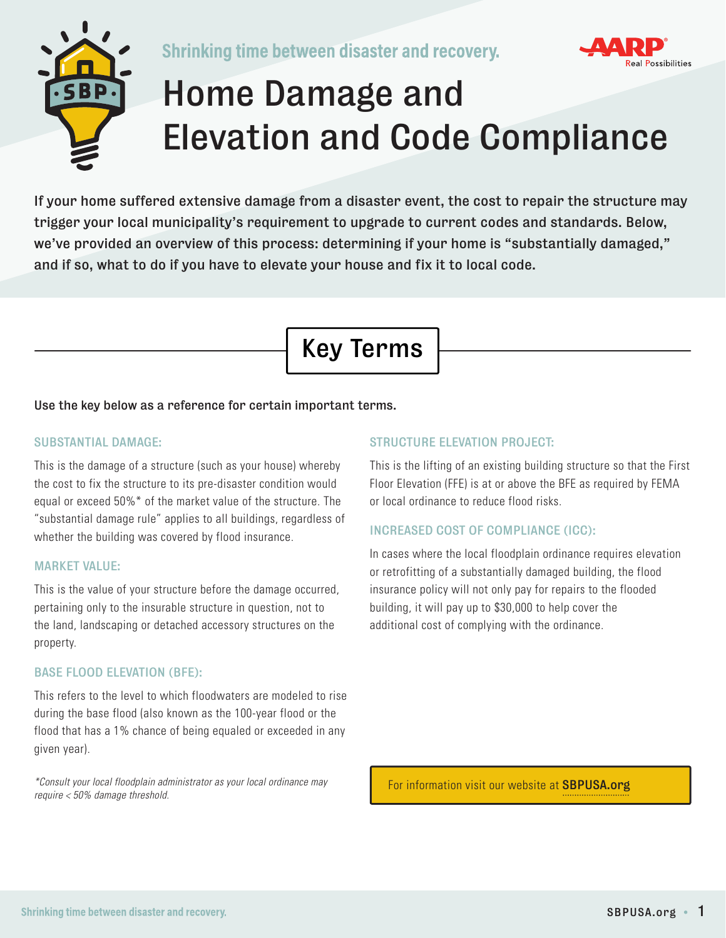

**Shrinking time between disaster and recovery.** 



# Home Damage and Elevation and Code Compliance

If your home suffered extensive damage from a disaster event, the cost to repair the structure may trigger your local municipality's requirement to upgrade to current codes and standards. Below, we've provided an overview of this process: determining if your home is "substantially damaged," and if so, what to do if you have to elevate your house and fix it to local code.



#### Use the key below as a reference for certain important terms.

#### SUBSTANTIAL DAMAGE:

This is the damage of a structure (such as your house) whereby the cost to fix the structure to its pre-disaster condition would equal or exceed 50%\* of the market value of the structure. The "substantial damage rule" applies to all buildings, regardless of whether the building was covered by flood insurance.

#### MARKET VALUE:

This is the value of your structure before the damage occurred, pertaining only to the insurable structure in question, not to the land, landscaping or detached accessory structures on the property.

#### BASE FLOOD ELEVATION (BFE):

This refers to the level to which floodwaters are modeled to rise during the base flood (also known as the 100-year flood or the flood that has a 1% chance of being equaled or exceeded in any given year).

*\*Consult your local floodplain administrator as your local ordinance may require < 50% damage threshold.*

#### STRUCTURE ELEVATION PROJECT:

This is the lifting of an existing building structure so that the First Floor Elevation (FFE) is at or above the BFE as required by FEMA or local ordinance to reduce flood risks.

#### INCREASED COST OF COMPLIANCE (ICC):

In cases where the local floodplain ordinance requires elevation or retrofitting of a substantially damaged building, the flood insurance policy will not only pay for repairs to the flooded building, it will pay up to \$30,000 to help cover the additional cost of complying with the ordinance.

For information visit our website at **SBPUSA.org**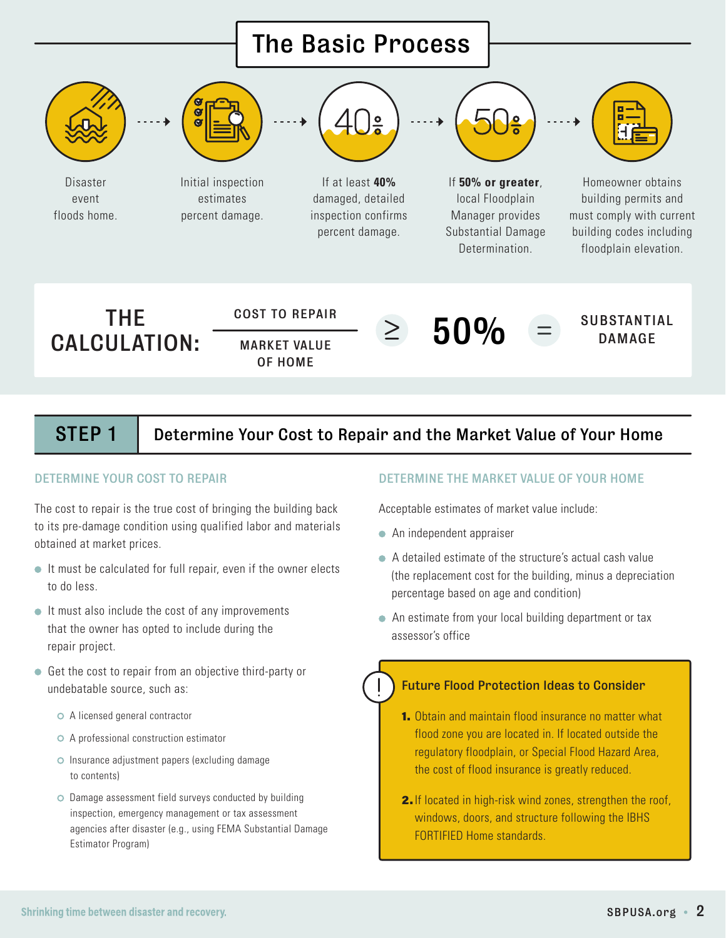## The Basic Process



### STEP 1 | Determine Your Cost to Repair and the Market Value of Your Home

#### DETERMINE YOUR COST TO REPAIR

The cost to repair is the true cost of bringing the building back to its pre-damage condition using qualified labor and materials obtained at market prices.

- $\bullet$  It must be calculated for full repair, even if the owner elects to do less.
- It must also include the cost of any improvements that the owner has opted to include during the repair project.
- Get the cost to repair from an objective third-party or undebatable source, such as: Future Flood Protection Ideas to Consider
	- A licensed general contractor
	- A professional construction estimator
	- Insurance adjustment papers (excluding damage to contents)
	- Damage assessment field surveys conducted by building inspection, emergency management or tax assessment agencies after disaster (e.g., using FEMA Substantial Damage Estimator Program)

#### DETERMINE THE MARKET VALUE OF YOUR HOME

Acceptable estimates of market value include:

- An independent appraiser
- A detailed estimate of the structure's actual cash value (the replacement cost for the building, minus a depreciation percentage based on age and condition)
- An estimate from your local building department or tax assessor's office

- 1. Obtain and maintain flood insurance no matter what flood zone you are located in. If located outside the regulatory floodplain, or Special Flood Hazard Area, the cost of flood insurance is greatly reduced.
- 2.If located in high-risk wind zones, strengthen the roof, windows, doors, and structure following the IBHS FORTIFIED Home standards.